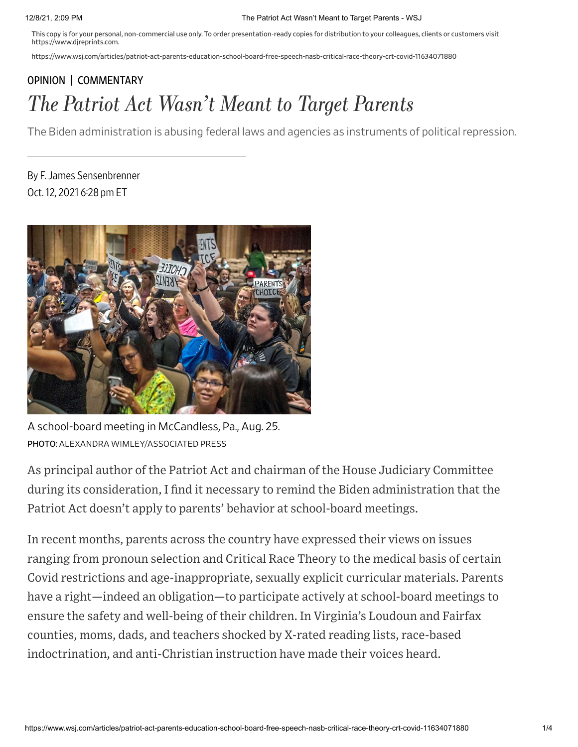### 12/8/21, 2:09 PM The Patriot Act Wasn't Meant to Target Parents - WSJ

This copy is for your personal, non-commercial use only. To order presentation-ready copies for distribution to your colleagues, clients or customers visit https://www.djreprints.com.

https://www.wsj.com/articles/patriot-act-parents-education-school-board-free-speech-nasb-critical-race-theory-crt-covid-11634071880

# [OPINION](https://www.wsj.com/news/opinion?mod=breadcrumb) | [COMMENTARY](https://www.wsj.com/news/types/commentary-u-s?mod=breadcrumb) The Patriot Act Wasn't Meant to Target Parents

The Biden administration is abusing federal laws and agencies as instruments of political repression.

By F.James Sensenbrenner Oct.12, 2021 6:28 pm ET



A school-board meeting in McCandless, Pa., Aug. 25. PHOTO: ALEXANDRA WIMLEY/ASSOCIATED PRESS

As principal author of the Patriot Act and chairman of the House Judiciary Committee during its consideration, I find it necessary to remind the Biden administration that the Patriot Act doesn't apply to parents' behavior at school-board meetings.

In recent months, parents across the country have expressed their views on issues ranging from pronoun selection and Critical Race Theory to the medical basis of certain Covid restrictions and age-inappropriate, sexually explicit curricular materials. Parents have a right—indeed an obligation—to participate actively at school-board meetings to ensure the safety and well-being of their children. In Virginia's Loudoun and Fairfax counties, moms, dads, and teachers shocked by X-rated reading lists, race-based indoctrination, and anti-Christian instruction have made their voices heard.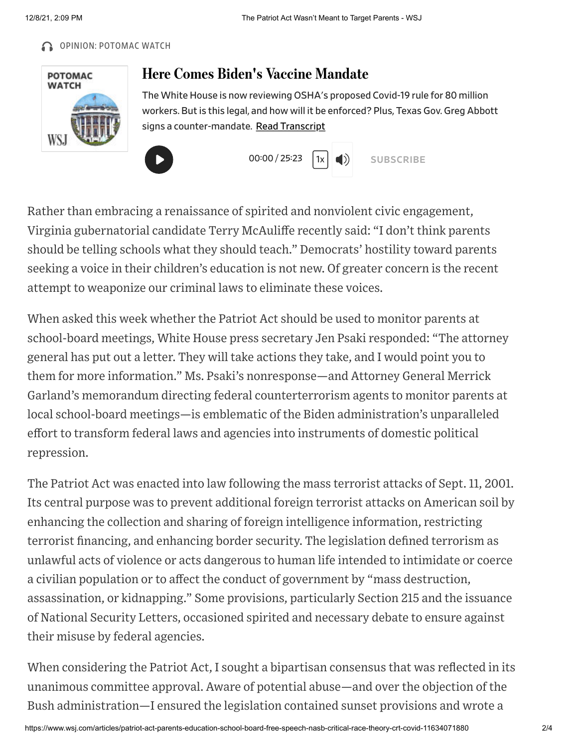## **OPINION: POTOMAC WATCH**



# Here Comes Biden's Vaccine [Mandate](https://www.wsj.com/podcasts/opinion-potomac-watch/here-comes-biden-vaccine-mandate/4F7BFB4B-49AF-44B0-B274-77821993F195)

The White House is now reviewing OSHA's proposed Covid-19 rule for 80 million workers. Butis this legal, and how will it be enforced? Plus, Texas Gov. Greg Abbott signs a counter-mandate. Read [Transcript](https://www.wsj.com/podcasts/opinion-potomac-watch/here-comes-biden-vaccine-mandate/4F7BFB4B-49AF-44B0-B274-77821993F195)



Rather than embracing a renaissance of spirited and nonviolent civic engagement, Virginia gubernatorial candidate Terry McAuliffe recently said: "I don't think parents should be telling schools what they should teach." Democrats' hostility toward parents seeking a voice in their children's education is not new. Of greater concern is the recent attempt to weaponize our criminal laws to eliminate these voices.

When asked this week whether the Patriot Act should be used to monitor parents at school-board meetings, White House press secretary Jen Psaki responded: "The attorney general has put out a letter. They will take actions they take, and I would point you to them for more information." Ms. Psaki's nonresponse—and Attorney General Merrick Garland's memorandum directing federal counterterrorism agents to monitor parents at local school-board meetings—is emblematic of the Biden administration's unparalleled effort to transform federal laws and agencies into instruments of domestic political repression.

The Patriot Act was enacted into law following the mass terrorist attacks of Sept. 11, 2001. Its central purpose was to prevent additional foreign terrorist attacks on American soil by enhancing the collection and sharing of foreign intelligence information, restricting terrorist financing, and enhancing border security. The legislation defined terrorism as unlawful acts of violence or acts dangerous to human life intended to intimidate or coerce a civilian population or to affect the conduct of government by "mass destruction, assassination, or kidnapping." Some provisions, particularly Section 215 and the issuance of National Security Letters, occasioned spirited and necessary debate to ensure against their misuse by federal agencies.

When considering the Patriot Act, I sought a bipartisan consensus that was reflected in its unanimous committee approval. Aware of potential abuse—and over the objection of the Bush administration—I ensured the legislation contained sunset provisions and wrote a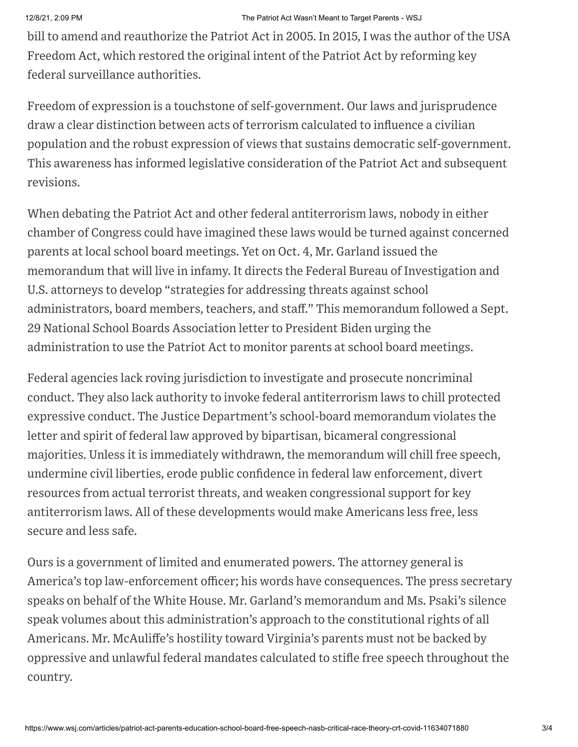bill to amend and reauthorize the Patriot Act in 2005. In 2015, I was the author of the USA Freedom Act, which restored the original intent of the Patriot Act by reforming key federal surveillance authorities.

Freedom of expression is a touchstone of self-government. Our laws and jurisprudence draw a clear distinction between acts of terrorism calculated to influence a civilian population and the robust expression of views that sustains democratic self-government. This awareness has informed legislative consideration of the Patriot Act and subsequent revisions.

When debating the Patriot Act and other federal antiterrorism laws, nobody in either chamber of Congress could have imagined these laws would be turned against concerned parents at local school board meetings. Yet on Oct. 4, Mr. Garland issued the memorandum that will live in infamy. It directs the Federal Bureau of Investigation and U.S. attorneys to develop "strategies for addressing threats against school administrators, board members, teachers, and staff." This memorandum followed a Sept. 29 National School Boards Association letter to President Biden urging the administration to use the Patriot Act to monitor parents at school board meetings.

Federal agencies lack roving jurisdiction to investigate and prosecute noncriminal conduct. They also lack authority to invoke federal antiterrorism laws to chill protected expressive conduct. The Justice Department's school-board memorandum violates the letter and spirit of federal law approved by bipartisan, bicameral congressional majorities. Unless it is immediately withdrawn, the memorandum will chill free speech, undermine civil liberties, erode public confidence in federal law enforcement, divert resources from actual terrorist threats, and weaken congressional support for key antiterrorism laws. All of these developments would make Americans less free, less secure and less safe.

Ours is a government of limited and enumerated powers. The attorney general is America's top law-enforcement officer; his words have consequences. The press secretary speaks on behalf of the White House. Mr. Garland's memorandum and Ms. Psaki's silence speak volumes about this administration's approach to the constitutional rights of all Americans. Mr. McAuliffe's hostility toward Virginia's parents must not be backed by oppressive and unlawful federal mandates calculated to stifle free speech throughout the country.